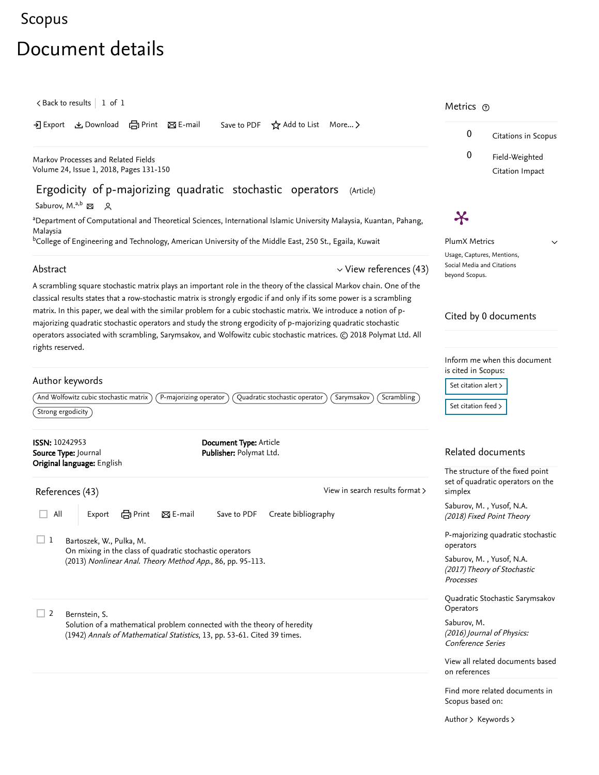## [Scopus](https://www.scopus.com/home.uri?zone=header&origin=searchbasic)

## Document details

<span id="page-0-0"></span>

| $\lt$ Back to results   1 of 1                                                                                                                                                                                                                                                                                                                                         | Metrics $\odot$                                                                                    |
|------------------------------------------------------------------------------------------------------------------------------------------------------------------------------------------------------------------------------------------------------------------------------------------------------------------------------------------------------------------------|----------------------------------------------------------------------------------------------------|
| ▲ Download (合Print 図 E-mail<br>Save to PDF $\star$ Add to List More ><br>-기 Export                                                                                                                                                                                                                                                                                     | 0<br>Citations in Scopus                                                                           |
| Markov Processes and Related Fields<br>Volume 24, Issue 1, 2018, Pages 131-150                                                                                                                                                                                                                                                                                         | 0<br>Field-Weighted<br>Citation Impact                                                             |
| Ergodicity of p-majorizing quadratic stochastic operators<br>(Article)<br>Saburov, M. <sup>a,b</sup> $\boxtimes$<br>$\sim$                                                                                                                                                                                                                                             |                                                                                                    |
| <sup>a</sup> Department of Computational and Theoretical Sciences, International Islamic University Malaysia, Kuantan, Pahang,                                                                                                                                                                                                                                         | Ӿ                                                                                                  |
| Malaysia<br><sup>b</sup> College of Engineering and Technology, American University of the Middle East, 250 St., Egaila, Kuwait                                                                                                                                                                                                                                        | <b>PlumX Metrics</b>                                                                               |
|                                                                                                                                                                                                                                                                                                                                                                        | $\checkmark$<br>Usage, Captures, Mentions,                                                         |
| Abstract<br>$\vee$ View references (43)                                                                                                                                                                                                                                                                                                                                | Social Media and Citations<br>beyond Scopus.                                                       |
| A scrambling square stochastic matrix plays an important role in the theory of the classical Markov chain. One of the<br>classical results states that a row-stochastic matrix is strongly ergodic if and only if its some power is a scrambling<br>matrix. In this paper, we deal with the similar problem for a cubic stochastic matrix. We introduce a notion of p- | Cited by 0 documents                                                                               |
| majorizing quadratic stochastic operators and study the strong ergodicity of p-majorizing quadratic stochastic<br>operators associated with scrambling, Sarymsakov, and Wolfowitz cubic stochastic matrices. @ 2018 Polymat Ltd. All                                                                                                                                   |                                                                                                    |
| rights reserved.<br>Author keywords<br>And Wolfowitz cubic stochastic matrix<br>P-majorizing operator<br>Quadratic stochastic operator<br>Sarymsakov<br>Scrambling<br>$\left\langle$ Strong ergodicity $\right\rangle$                                                                                                                                                 | Inform me when this document<br>is cited in Scopus:<br>Set citation alert ><br>Set citation feed > |
| <b>ISSN: 10242953</b><br>Document Type: Article<br>Source Type: Journal<br>Publisher: Polymat Ltd.                                                                                                                                                                                                                                                                     | Related documents                                                                                  |
| Original language: English<br>View in search results format ><br>References (43)                                                                                                                                                                                                                                                                                       | The structure of the fixed point<br>set of quadratic operators on the<br>simplex                   |
| 合Print<br>区 E-mail<br>Save to PDF<br>All<br>Create bibliography<br>Export                                                                                                                                                                                                                                                                                              | Saburov, M., Yusof, N.A.<br>(2018) Fixed Point Theory                                              |
| $\Box$ 1<br>Bartoszek, W., Pulka, M.<br>On mixing in the class of quadratic stochastic operators                                                                                                                                                                                                                                                                       | P-majorizing quadratic stochastic<br>operators                                                     |
| (2013) Nonlinear Anal. Theory Method App., 86, pp. 95-113.                                                                                                                                                                                                                                                                                                             | Saburov, M., Yusof, N.A.<br>(2017) Theory of Stochastic<br>Processes                               |
| $\Box$ 2<br>Bernstein, S.                                                                                                                                                                                                                                                                                                                                              | Quadratic Stochastic Sarymsakov<br>Operators                                                       |
| Solution of a mathematical problem connected with the theory of heredity<br>(1942) Annals of Mathematical Statistics, 13, pp. 53-61. Cited 39 times.                                                                                                                                                                                                                   | Saburov, M.<br>(2016) Journal of Physics:<br>Conference Series                                     |
|                                                                                                                                                                                                                                                                                                                                                                        | View all related documents based<br>on references                                                  |
|                                                                                                                                                                                                                                                                                                                                                                        | Find more related documents in<br>Scopus based on:                                                 |

[Author](https://www.scopus.com/search/submit/mlt.uri?eid=2-s2.0-85048604816&src=s&all=true&origin=recordpage&method=aut&zone=relatedDocuments) > [Keywords](https://www.scopus.com/search/submit/mlt.uri?eid=2-s2.0-85048604816&src=s&all=true&origin=recordpage&method=key&zone=relatedDocuments) >